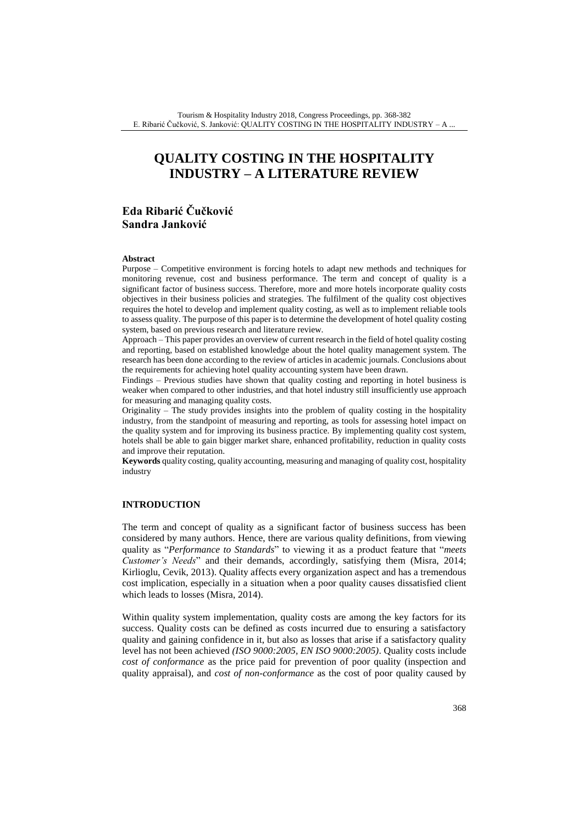# **QUALITY COSTING IN THE HOSPITALITY INDUSTRY – A LITERATURE REVIEW**

## **Eda Ribarić Čučković Sandra Janković**

#### **Abstract**

Purpose – Competitive environment is forcing hotels to adapt new methods and techniques for monitoring revenue, cost and business performance. The term and concept of quality is a significant factor of business success. Therefore, more and more hotels incorporate quality costs objectives in their business policies and strategies. The fulfilment of the quality cost objectives requires the hotel to develop and implement quality costing, as well as to implement reliable tools to assess quality. The purpose of this paper is to determine the development of hotel quality costing system, based on previous research and literature review.

Approach – This paper provides an overview of current research in the field of hotel quality costing and reporting, based on established knowledge about the hotel quality management system. The research has been done according to the review of articles in academic journals. Conclusions about the requirements for achieving hotel quality accounting system have been drawn.

Findings – Previous studies have shown that quality costing and reporting in hotel business is weaker when compared to other industries, and that hotel industry still insufficiently use approach for measuring and managing quality costs.

Originality – The study provides insights into the problem of quality costing in the hospitality industry, from the standpoint of measuring and reporting, as tools for assessing hotel impact on the quality system and for improving its business practice. By implementing quality cost system, hotels shall be able to gain bigger market share, enhanced profitability, reduction in quality costs and improve their reputation.

**Keywords** quality costing, quality accounting, measuring and managing of quality cost, hospitality industry

### **INTRODUCTION**

The term and concept of quality as a significant factor of business success has been considered by many authors. Hence, there are various quality definitions, from viewing quality as "*Performance to Standards*" to viewing it as a product feature that "*meets Customer's Needs*" and their demands, accordingly, satisfying them (Misra, 2014; Kirlioglu, Cevik, 2013). Quality affects every organization aspect and has a tremendous cost implication, especially in a situation when a poor quality causes dissatisfied client which leads to losses (Misra, 2014).

Within quality system implementation, quality costs are among the key factors for its success. Quality costs can be defined as costs incurred due to ensuring a satisfactory quality and gaining confidence in it, but also as losses that arise if a satisfactory quality level has not been achieved *(ISO 9000:2005, EN ISO 9000:2005)*. Quality costs include *cost of conformance* as the price paid for prevention of poor quality (inspection and quality appraisal), and *cost of non-conformance* as the cost of poor quality caused by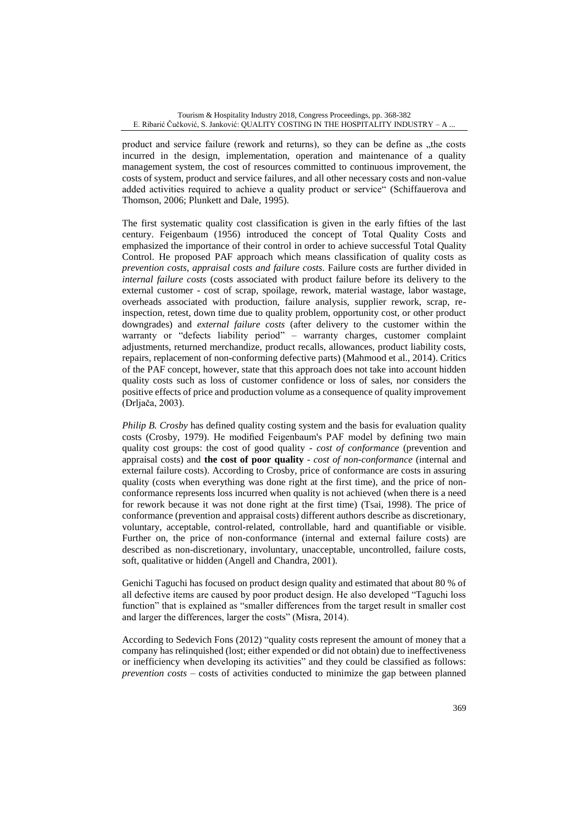product and service failure (rework and returns), so they can be define as "the costs incurred in the design, implementation, operation and maintenance of a quality management system, the cost of resources committed to continuous improvement, the costs of system, product and service failures, and all other necessary costs and non-value added activities required to achieve a quality product or service" (Schiffauerova and Thomson, 2006; Plunkett and Dale, 1995).

The first systematic quality cost classification is given in the early fifties of the last century. Feigenbaum (1956) introduced the concept of Total Quality Costs and emphasized the importance of their control in order to achieve successful Total Quality Control. He proposed PAF approach which means classification of quality costs as *prevention costs, appraisal costs and failure costs*. Failure costs are further divided in *internal failure costs* (costs associated with product failure before its delivery to the external customer - cost of scrap, spoilage, rework, material wastage, labor wastage, overheads associated with production, failure analysis, supplier rework, scrap, reinspection, retest, down time due to quality problem, opportunity cost, or other product downgrades) and *external failure costs* (after delivery to the customer within the warranty or "defects liability period" – warranty charges, customer complaint adjustments, returned merchandize, product recalls, allowances, product liability costs, repairs, replacement of non-conforming defective parts) (Mahmood et al., 2014). Critics of the PAF concept, however, state that this approach does not take into account hidden quality costs such as loss of customer confidence or loss of sales, nor considers the positive effects of price and production volume as a consequence of quality improvement (Drljača, 2003).

*Philip B. Crosby* has defined quality costing system and the basis for evaluation quality costs (Crosby, 1979). He modified Feigenbaum's PAF model by defining two main quality cost groups: the cost of good quality - *cost of conformance* (prevention and appraisal costs) and **the cost of poor quality** - *cost of non-conformance* (internal and external failure costs). According to Crosby, price of conformance are costs in assuring quality (costs when everything was done right at the first time), and the price of nonconformance represents loss incurred when quality is not achieved (when there is a need for rework because it was not done right at the first time) (Tsai, 1998). The price of conformance (prevention and appraisal costs) different authors describe as discretionary, voluntary, acceptable, control-related, controllable, hard and quantifiable or visible. Further on, the price of non-conformance (internal and external failure costs) are described as non-discretionary, involuntary, unacceptable, uncontrolled, failure costs, soft, qualitative or hidden (Angell and Chandra, 2001).

Genichi Taguchi has focused on product design quality and estimated that about 80 % of all defective items are caused by poor product design. He also developed "Taguchi loss function" that is explained as "smaller differences from the target result in smaller cost and larger the differences, larger the costs" (Misra, 2014).

According to Sedevich Fons (2012) "quality costs represent the amount of money that a company has relinquished (lost; either expended or did not obtain) due to ineffectiveness or inefficiency when developing its activities" and they could be classified as follows: *prevention costs* – costs of activities conducted to minimize the gap between planned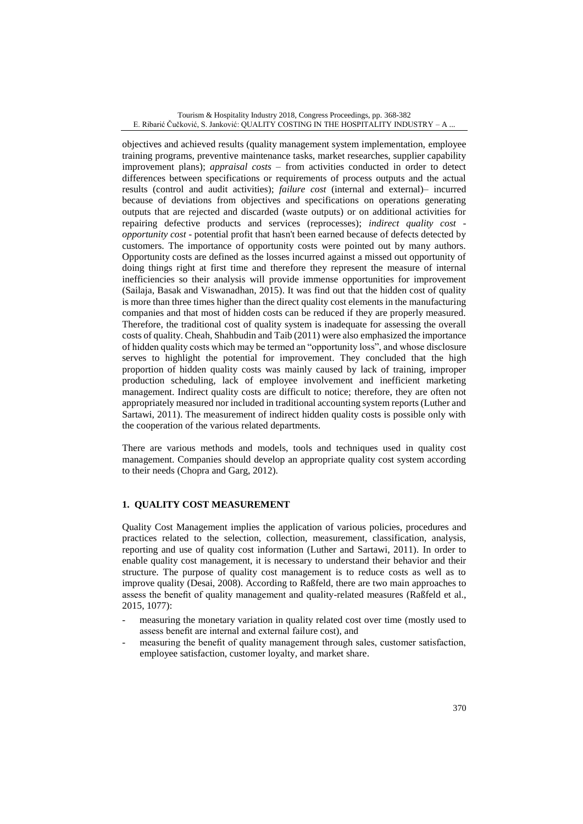objectives and achieved results (quality management system implementation, employee training programs, preventive maintenance tasks, market researches, supplier capability improvement plans); *appraisal costs* – from activities conducted in order to detect differences between specifications or requirements of process outputs and the actual results (control and audit activities); *failure cost* (internal and external)– incurred because of deviations from objectives and specifications on operations generating outputs that are rejected and discarded (waste outputs) or on additional activities for repairing defective products and services (reprocesses); *indirect quality cost opportunity cost* - potential profit that hasn't been earned because of defects detected by customers. The importance of opportunity costs were pointed out by many authors. Opportunity costs are defined as the losses incurred against a missed out opportunity of doing things right at first time and therefore they represent the measure of internal inefficiencies so their analysis will provide immense opportunities for improvement (Sailaja, Basak and Viswanadhan, 2015). It was find out that the hidden cost of quality is more than three times higher than the direct quality cost elements in the manufacturing companies and that most of hidden costs can be reduced if they are properly measured. Therefore, the traditional cost of quality system is inadequate for assessing the overall costs of quality. Cheah, Shahbudin and Taib (2011) were also emphasized the importance of hidden quality costs which may be termed an "opportunity loss", and whose disclosure serves to highlight the potential for improvement. They concluded that the high proportion of hidden quality costs was mainly caused by lack of training, improper production scheduling, lack of employee involvement and inefficient marketing management. Indirect quality costs are difficult to notice; therefore, they are often not appropriately measured nor included in traditional accounting system reports (Luther and Sartawi, 2011). The measurement of indirect hidden quality costs is possible only with the cooperation of the various related departments.

There are various methods and models, tools and techniques used in quality cost management. Companies should develop an appropriate quality cost system according to their needs (Chopra and Garg, 2012).

### **1. QUALITY COST MEASUREMENT**

Quality Cost Management implies the application of various policies, procedures and practices related to the selection, collection, measurement, classification, analysis, reporting and use of quality cost information (Luther and Sartawi, 2011). In order to enable quality cost management, it is necessary to understand their behavior and their structure. The purpose of quality cost management is to reduce costs as well as to improve quality (Desai, 2008). According to Raßfeld, there are two main approaches to assess the benefit of quality management and quality-related measures (Raßfeld et al., 2015, 1077):

- measuring the monetary variation in quality related cost over time (mostly used to assess benefit are internal and external failure cost), and
- measuring the benefit of quality management through sales, customer satisfaction, employee satisfaction, customer loyalty, and market share.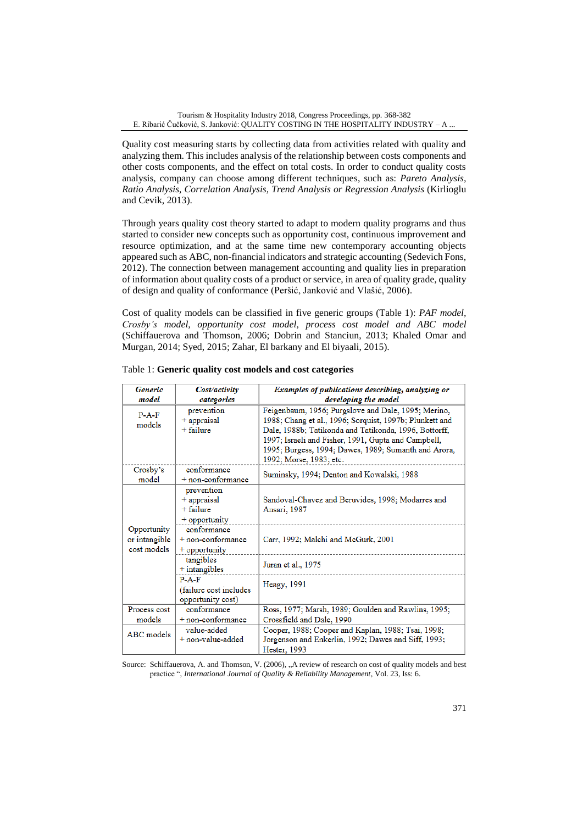Quality cost measuring starts by collecting data from activities related with quality and analyzing them. This includes analysis of the relationship between costs components and other costs components, and the effect on total costs. In order to conduct quality costs analysis, company can choose among different techniques, such as: *Pareto Analysis, Ratio Analysis, Correlation Analysis, Trend Analysis or Regression Analysis* (Kirlioglu and Cevik, 2013).

Through years quality cost theory started to adapt to modern quality programs and thus started to consider new concepts such as opportunity cost, continuous improvement and resource optimization, and at the same time new contemporary accounting objects appeared such as ABC, non-financial indicators and strategic accounting (Sedevich Fons, 2012). The connection between management accounting and quality lies in preparation of information about quality costs of a product or service, in area of quality grade, quality of design and quality of conformance (Peršić, Janković and Vlašić, 2006).

Cost of quality models can be classified in five generic groups (Table 1): *PAF model, Crosby's model, opportunity cost model, process cost model and ABC model* (Schiffauerova and Thomson, 2006; Dobrin and Stanciun, 2013; Khaled Omar and Murgan, 2014; Syed, 2015; Zahar, El barkany and El biyaali, 2015).

| <b>Generic</b>                              | Cost/activity                                                 | Examples of publications describing, analyzing or                                                                                                                                                                                                                                                                 |  |  |
|---------------------------------------------|---------------------------------------------------------------|-------------------------------------------------------------------------------------------------------------------------------------------------------------------------------------------------------------------------------------------------------------------------------------------------------------------|--|--|
| model                                       | categories                                                    | developing the model                                                                                                                                                                                                                                                                                              |  |  |
| $P-A-F$<br>models                           | prevention<br>$+$ appraisal<br>$+$ failure                    | Feigenbaum, 1956; Purgslove and Dale, 1995; Merino,<br>1988; Chang et al., 1996; Sorquist, 1997b; Plunkett and<br>Dale, 1988b; Tatikonda and Tatikonda, 1996, Bottorff,<br>1997; Israeli and Fisher, 1991, Gupta and Campbell,<br>1995; Burgess, 1994; Dawes, 1989; Sumanth and Arora,<br>1992; Morse, 1983; etc. |  |  |
| Crosby's<br>model                           | conformance<br>$+$ non-conformance                            | Suminsky, 1994; Denton and Kowalski, 1988                                                                                                                                                                                                                                                                         |  |  |
|                                             | prevention<br>$+$ appraisal<br>$+$ failure<br>$+$ opportunity | Sandoval-Chavez and Beruvides, 1998; Modarres and<br>Ansari, 1987                                                                                                                                                                                                                                                 |  |  |
| Opportunity<br>or intangible<br>cost models | conformance<br>$+$ non-conformance<br>$+$ opportunity         | Carr, 1992; Malchi and McGurk, 2001                                                                                                                                                                                                                                                                               |  |  |
|                                             | tangibles<br>$+$ intangibles                                  | Juran et al., 1975                                                                                                                                                                                                                                                                                                |  |  |
|                                             | $P - A - F$<br>(failure cost includes<br>opportunity cost)    | Heagy, 1991                                                                                                                                                                                                                                                                                                       |  |  |
| Process cost                                | conformance                                                   | Ross, 1977; Marsh, 1989; Goulden and Rawlins, 1995;                                                                                                                                                                                                                                                               |  |  |
| models                                      | $+$ non-conformance                                           | Crossfield and Dale, 1990                                                                                                                                                                                                                                                                                         |  |  |
| ABC models                                  | value-added<br>+ non-value-added                              | Cooper, 1988; Cooper and Kaplan, 1988; Tsai, 1998;<br>Jorgenson and Enkerlin, 1992; Dawes and Siff, 1993;<br>Hester, 1993                                                                                                                                                                                         |  |  |

| Table 1: Generic quality cost models and cost categories |
|----------------------------------------------------------|
|----------------------------------------------------------|

Source: Schiffauerova, A. and Thomson, V. (2006), "A review of research on cost of quality models and best practice ", *International Journal of Quality & Reliability Management*, Vol. 23, Iss: 6.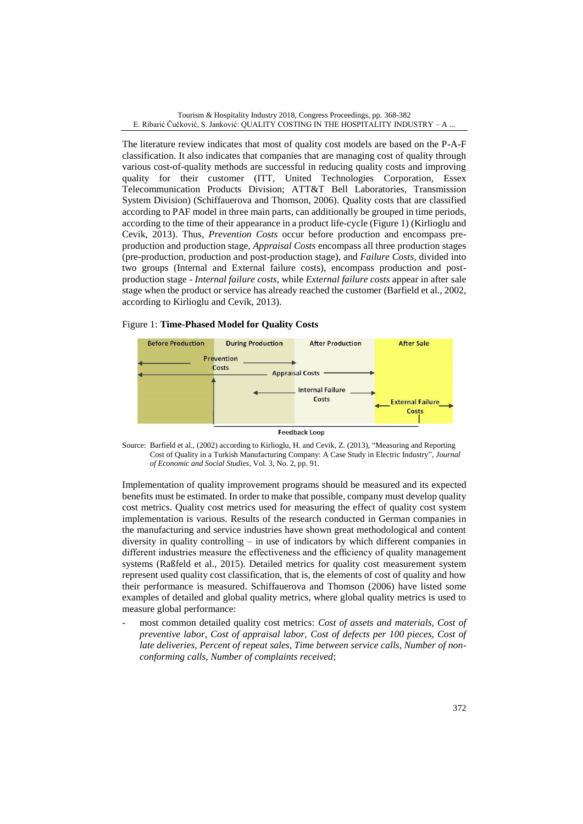The literature review indicates that most of quality cost models are based on the P-A-F classification. It also indicates that companies that are managing cost of quality through various cost-of-quality methods are successful in reducing quality costs and improving quality for their customer (ITT, United Technologies Corporation, Essex Telecommunication Products Division; ATT&T Bell Laboratories, Transmission System Division) (Schiffauerova and Thomson, 2006). Quality costs that are classified according to PAF model in three main parts, can additionally be grouped in time periods, according to the time of their appearance in a product life-cycle (Figure 1) (Kirlioglu and Cevik, 2013). Thus, *Prevention Costs* occur before production and encompass preproduction and production stage, *Appraisal Costs* encompass all three production stages (pre-production, production and post-production stage), and *Failure Costs,* divided into two groups (Internal and External failure costs), encompass production and postproduction stage - *Internal failure costs*, while *External failure costs* appear in after sale stage when the product or service has already reached the customer (Barfield et al., 2002, according to Kirlioglu and Cevik, 2013).

#### Figure 1: **Time-Phased Model for Quality Costs**



Source: Barfield et al., (2002) according to Kirlioglu, H. and Cevik, Z. (2013), "Measuring and Reporting Cost of Quality in a Turkish Manufacturing Company: A Case Study in Electric Industry", *Journal of Economic and Social Studies*, Vol. 3, No. 2, pp. 91.

Implementation of quality improvement programs should be measured and its expected benefits must be estimated. In order to make that possible, company must develop quality cost metrics. Quality cost metrics used for measuring the effect of quality cost system implementation is various. Results of the research conducted in German companies in the manufacturing and service industries have shown great methodological and content diversity in quality controlling – in use of indicators by which different companies in different industries measure the effectiveness and the efficiency of quality management systems (Raßfeld et al., 2015). Detailed metrics for quality cost measurement system represent used quality cost classification, that is, the elements of cost of quality and how their performance is measured. Schiffauerova and Thomson (2006) have listed some examples of detailed and global quality metrics, where global quality metrics is used to measure global performance:

most common detailed quality cost metrics: *Cost of assets and materials, Cost of preventive labor, Cost of appraisal labor, Cost of defects per 100 pieces, Cost of late deliveries, Percent of repeat sales, Time between service calls, Number of nonconforming calls, Number of complaints received*;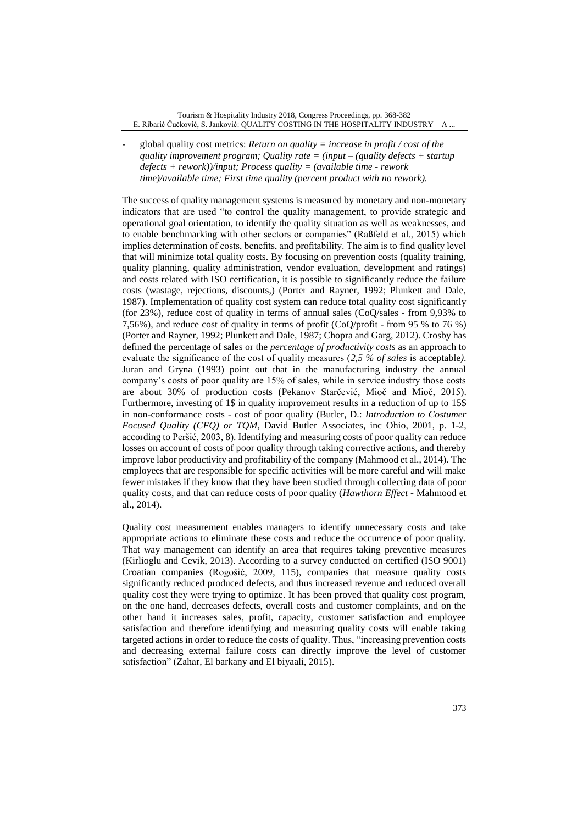- global quality cost metrics: *Return on quality = increase in profit / cost of the quality improvement program; Quality rate = (input – (quality defects + startup defects + rework))/input; Process quality = (available time - rework time)/available time; First time quality (percent product with no rework).*

The success of quality management systems is measured by monetary and non-monetary indicators that are used "to control the quality management, to provide strategic and operational goal orientation, to identify the quality situation as well as weaknesses, and to enable benchmarking with other sectors or companies" (Raßfeld et al., 2015) which implies determination of costs, benefits, and profitability. The aim is to find quality level that will minimize total quality costs. By focusing on prevention costs (quality training, quality planning, quality administration, vendor evaluation, development and ratings) and costs related with ISO certification, it is possible to significantly reduce the failure costs (wastage, rejections, discounts,) (Porter and Rayner, 1992; Plunkett and Dale, 1987). Implementation of quality cost system can reduce total quality cost significantly (for 23%), reduce cost of quality in terms of annual sales (CoQ/sales - from 9,93% to 7,56%), and reduce cost of quality in terms of profit (CoQ/profit - from 95 % to 76 %) (Porter and Rayner, 1992; Plunkett and Dale, 1987; Chopra and Garg, 2012). Crosby has defined the percentage of sales or the *percentage of productivity costs* as an approach to evaluate the significance of the cost of quality measures (*2,5 % of sales* is acceptable*)*. Juran and Gryna (1993) point out that in the manufacturing industry the annual company's costs of poor quality are 15% of sales, while in service industry those costs are about 30% of production costs (Pekanov Starčević, Mioč and Mioč, 2015). Furthermore, investing of 1\$ in quality improvement results in a reduction of up to 15\$ in non-conformance costs - cost of poor quality (Butler, D.: *Introduction to Costumer Focused Quality (CFQ) or TQM*, David Butler Associates, inc Ohio, 2001, p. 1-2, according to Peršić, 2003, 8). Identifying and measuring costs of poor quality can reduce losses on account of costs of poor quality through taking corrective actions, and thereby improve labor productivity and profitability of the company (Mahmood et al., 2014). The employees that are responsible for specific activities will be more careful and will make fewer mistakes if they know that they have been studied through collecting data of poor quality costs, and that can reduce costs of poor quality (*Hawthorn Effect* - Mahmood et al., 2014).

Quality cost measurement enables managers to identify unnecessary costs and take appropriate actions to eliminate these costs and reduce the occurrence of poor quality. That way management can identify an area that requires taking preventive measures (Kirlioglu and Cevik, 2013). According to a survey conducted on certified (ISO 9001) Croatian companies (Rogošić, 2009, 115), companies that measure quality costs significantly reduced produced defects, and thus increased revenue and reduced overall quality cost they were trying to optimize. It has been proved that quality cost program, on the one hand, decreases defects, overall costs and customer complaints, and on the other hand it increases sales, profit, capacity, customer satisfaction and employee satisfaction and therefore identifying and measuring quality costs will enable taking targeted actions in order to reduce the costs of quality. Thus, "increasing prevention costs and decreasing external failure costs can directly improve the level of customer satisfaction" (Zahar, El barkany and El biyaali, 2015).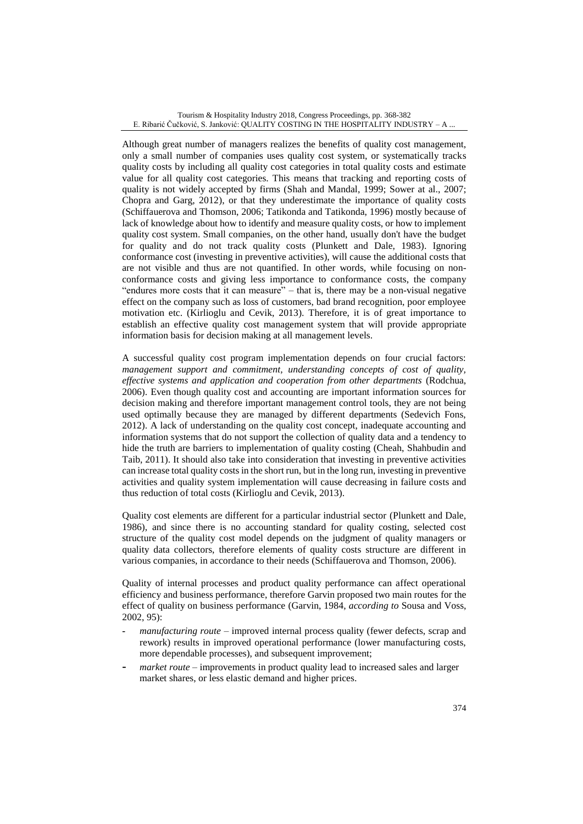Although great number of managers realizes the benefits of quality cost management, only a small number of companies uses quality cost system, or systematically tracks quality costs by including all quality cost categories in total quality costs and estimate value for all quality cost categories. This means that tracking and reporting costs of quality is not widely accepted by firms (Shah and Mandal, 1999; Sower at al., 2007; Chopra and Garg, 2012), or that they underestimate the importance of quality costs (Schiffauerova and Thomson, 2006; Tatikonda and Tatikonda, 1996) mostly because of lack of knowledge about how to identify and measure quality costs, or how to implement quality cost system. Small companies, on the other hand, usually don't have the budget for quality and do not track quality costs (Plunkett and Dale, 1983). Ignoring conformance cost (investing in preventive activities), will cause the additional costs that are not visible and thus are not quantified. In other words, while focusing on nonconformance costs and giving less importance to conformance costs, the company "endures more costs that it can measure" – that is, there may be a non-visual negative effect on the company such as loss of customers, bad brand recognition, poor employee motivation etc. (Kirlioglu and Cevik, 2013). Therefore, it is of great importance to establish an effective quality cost management system that will provide appropriate information basis for decision making at all management levels.

A successful quality cost program implementation depends on four crucial factors: *management support and commitment, understanding concepts of cost of quality, effective systems and application and cooperation from other departments* (Rodchua, 2006). Even though quality cost and accounting are important information sources for decision making and therefore important management control tools, they are not being used optimally because they are managed by different departments (Sedevich Fons, 2012). A lack of understanding on the quality cost concept, inadequate accounting and information systems that do not support the collection of quality data and a tendency to hide the truth are barriers to implementation of quality costing (Cheah, Shahbudin and Taib, 2011). It should also take into consideration that investing in preventive activities can increase total quality costs in the short run, but in the long run, investing in preventive activities and quality system implementation will cause decreasing in failure costs and thus reduction of total costs (Kirlioglu and Cevik, 2013).

Quality cost elements are different for a particular industrial sector (Plunkett and Dale, 1986), and since there is no accounting standard for quality costing, selected cost structure of the quality cost model depends on the judgment of quality managers or quality data collectors, therefore elements of quality costs structure are different in various companies, in accordance to their needs (Schiffauerova and Thomson, 2006).

Quality of internal processes and product quality performance can affect operational efficiency and business performance, therefore Garvin proposed two main routes for the effect of quality on business performance (Garvin, 1984, *according to* Sousa and Voss, 2002, 95):

- **-** *manufacturing route* improved internal process quality (fewer defects, scrap and rework) results in improved operational performance (lower manufacturing costs, more dependable processes), and subsequent improvement;
- **-** *market route*  improvements in product quality lead to increased sales and larger market shares, or less elastic demand and higher prices.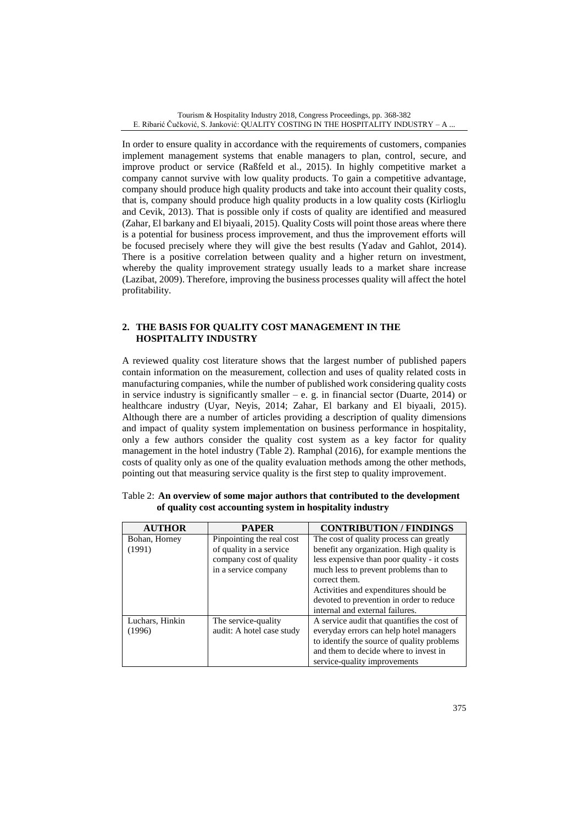In order to ensure quality in accordance with the requirements of customers, companies implement management systems that enable managers to plan, control, secure, and improve product or service (Raßfeld et al., 2015). In highly competitive market a company cannot survive with low quality products. To gain a competitive advantage, company should produce high quality products and take into account their quality costs, that is, company should produce high quality products in a low quality costs (Kirlioglu and Cevik, 2013). That is possible only if costs of quality are identified and measured (Zahar, El barkany and El biyaali, 2015). Quality Costs will point those areas where there is a potential for business process improvement, and thus the improvement efforts will be focused precisely where they will give the best results (Yadav and Gahlot, 2014). There is a positive correlation between quality and a higher return on investment, whereby the quality improvement strategy usually leads to a market share increase (Lazibat, 2009). Therefore, improving the business processes quality will affect the hotel profitability.

### **2. THE BASIS FOR QUALITY COST MANAGEMENT IN THE HOSPITALITY INDUSTRY**

A reviewed quality cost literature shows that the largest number of published papers contain information on the measurement, collection and uses of quality related costs in manufacturing companies, while the number of published work considering quality costs in service industry is significantly smaller – e. g. in financial sector (Duarte, 2014) or healthcare industry (Uyar, Neyis, 2014; Zahar, El barkany and El biyaali, 2015). Although there are a number of articles providing a description of quality dimensions and impact of quality system implementation on business performance in hospitality, only a few authors consider the quality cost system as a key factor for quality management in the hotel industry (Table 2). Ramphal (2016), for example mentions the costs of quality only as one of the quality evaluation methods among the other methods, pointing out that measuring service quality is the first step to quality improvement.

| <b>AUTHOR</b>   | <b>PAPER</b>              | <b>CONTRIBUTION / FINDINGS</b>              |
|-----------------|---------------------------|---------------------------------------------|
| Bohan, Horney   | Pinpointing the real cost | The cost of quality process can greatly     |
| (1991)          | of quality in a service   | benefit any organization. High quality is   |
|                 | company cost of quality   | less expensive than poor quality - it costs |
|                 | in a service company      | much less to prevent problems than to       |
|                 |                           | correct them.                               |
|                 |                           | Activities and expenditures should be       |
|                 |                           | devoted to prevention in order to reduce    |
|                 |                           | internal and external failures.             |
| Luchars, Hinkin | The service-quality       | A service audit that quantifies the cost of |
| (1996)          | audit: A hotel case study | everyday errors can help hotel managers     |
|                 |                           | to identify the source of quality problems  |
|                 |                           | and them to decide where to invest in       |
|                 |                           | service-quality improvements                |

|                                                           | Table 2: An overview of some major authors that contributed to the development |
|-----------------------------------------------------------|--------------------------------------------------------------------------------|
| of quality cost accounting system in hospitality industry |                                                                                |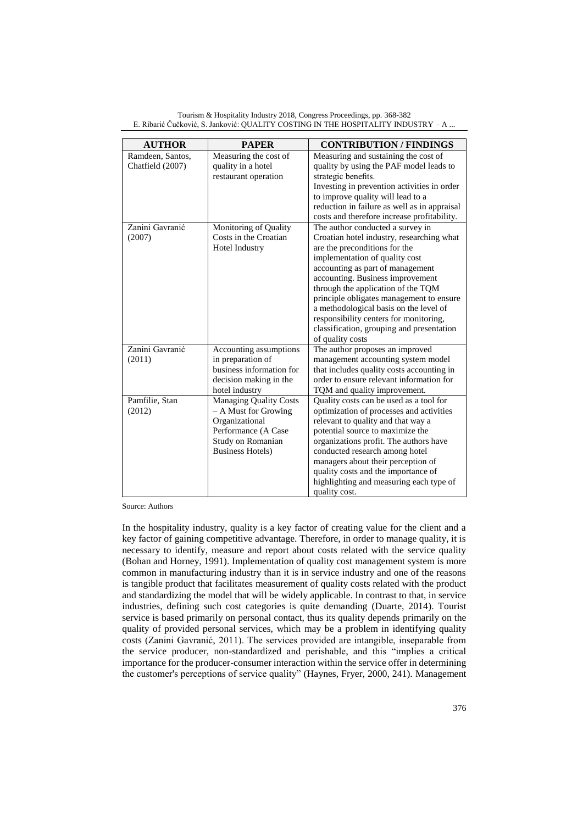| <b>AUTHOR</b>                        | <b>PAPER</b>                                | <b>CONTRIBUTION / FINDINGS</b>                                                   |
|--------------------------------------|---------------------------------------------|----------------------------------------------------------------------------------|
| Ramdeen, Santos,<br>Chatfield (2007) | Measuring the cost of<br>quality in a hotel | Measuring and sustaining the cost of<br>quality by using the PAF model leads to  |
|                                      | restaurant operation                        | strategic benefits.                                                              |
|                                      |                                             | Investing in prevention activities in order<br>to improve quality will lead to a |
|                                      |                                             | reduction in failure as well as in appraisal                                     |
|                                      |                                             | costs and therefore increase profitability.                                      |
| Zanini Gavranić                      | Monitoring of Quality                       | The author conducted a survey in                                                 |
| (2007)                               | Costs in the Croatian                       | Croatian hotel industry, researching what                                        |
|                                      | Hotel Industry                              | are the preconditions for the<br>implementation of quality cost                  |
|                                      |                                             | accounting as part of management                                                 |
|                                      |                                             | accounting. Business improvement                                                 |
|                                      |                                             | through the application of the TQM                                               |
|                                      |                                             | principle obligates management to ensure                                         |
|                                      |                                             | a methodological basis on the level of                                           |
|                                      |                                             | responsibility centers for monitoring,                                           |
|                                      |                                             | classification, grouping and presentation<br>of quality costs                    |
| Zanini Gavranić                      | Accounting assumptions                      | The author proposes an improved                                                  |
| (2011)                               | in preparation of                           | management accounting system model                                               |
|                                      | business information for                    | that includes quality costs accounting in                                        |
|                                      | decision making in the                      | order to ensure relevant information for                                         |
|                                      | hotel industry                              | TQM and quality improvement.                                                     |
| Pamfilie, Stan                       | <b>Managing Quality Costs</b>               | Quality costs can be used as a tool for                                          |
| (2012)                               | - A Must for Growing<br>Organizational      | optimization of processes and activities<br>relevant to quality and that way a   |
|                                      | Performance (A Case                         | potential source to maximize the                                                 |
|                                      | Study on Romanian                           | organizations profit. The authors have                                           |
|                                      | <b>Business Hotels</b> )                    | conducted research among hotel                                                   |
|                                      |                                             | managers about their perception of                                               |
|                                      |                                             | quality costs and the importance of                                              |
|                                      |                                             | highlighting and measuring each type of                                          |
|                                      |                                             | quality cost.                                                                    |

Tourism & Hospitality Industry 2018, Congress Proceedings, pp. 368-382 E. Ribarić Čučković, S. Janković: QUALITY COSTING IN THE HOSPITALITY INDUSTRY – A ...

Source: Authors

In the hospitality industry, quality is a key factor of creating value for the client and a key factor of gaining competitive advantage. Therefore, in order to manage quality, it is necessary to identify, measure and report about costs related with the service quality (Bohan and Horney, 1991). Implementation of quality cost management system is more common in manufacturing industry than it is in service industry and one of the reasons is tangible product that facilitates measurement of quality costs related with the product and standardizing the model that will be widely applicable. In contrast to that, in service industries, defining such cost categories is quite demanding (Duarte, 2014). Tourist service is based primarily on personal contact, thus its quality depends primarily on the quality of provided personal services, which may be a problem in identifying quality costs (Zanini Gavranić, 2011). The services provided are intangible, inseparable from the service producer, non-standardized and perishable, and this "implies a critical importance for the producer-consumer interaction within the service offer in determining the customer's perceptions of service quality" (Haynes, Fryer, 2000, 241). Management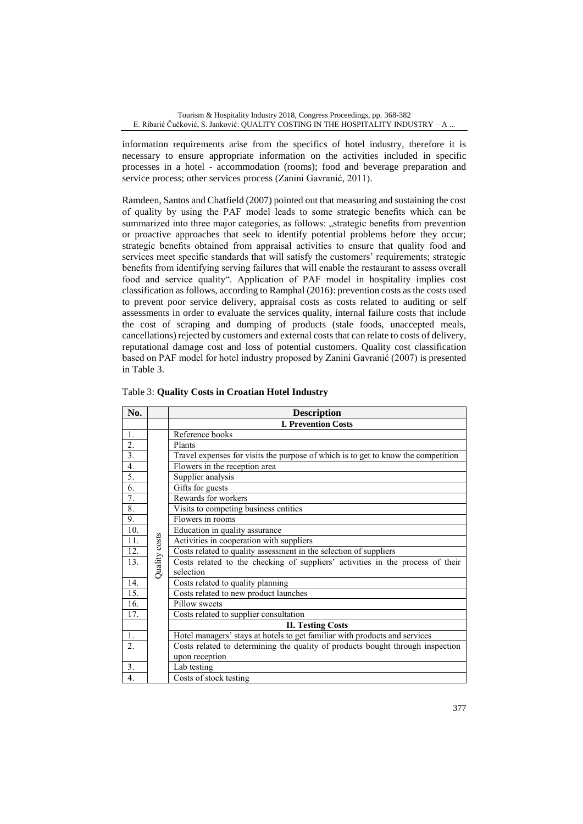information requirements arise from the specifics of hotel industry, therefore it is necessary to ensure appropriate information on the activities included in specific processes in a hotel - accommodation (rooms); food and beverage preparation and service process; other services process (Zanini Gavranić, 2011).

Ramdeen, Santos and Chatfield (2007) pointed out that measuring and sustaining the cost of quality by using the PAF model leads to some strategic benefits which can be summarized into three major categories, as follows: "strategic benefits from prevention or proactive approaches that seek to identify potential problems before they occur; strategic benefits obtained from appraisal activities to ensure that quality food and services meet specific standards that will satisfy the customers' requirements; strategic benefits from identifying serving failures that will enable the restaurant to assess overall food and service quality". Application of PAF model in hospitality implies cost classification as follows, according to Ramphal (2016): prevention costs as the costs used to prevent poor service delivery, appraisal costs as costs related to auditing or self assessments in order to evaluate the services quality, internal failure costs that include the cost of scraping and dumping of products (stale foods, unaccepted meals, cancellations) rejected by customers and external costs that can relate to costs of delivery, reputational damage cost and loss of potential customers. Quality cost classification based on PAF model for hotel industry proposed by Zanini Gavranić (2007) is presented in Table 3.

| No.              |               | <b>Description</b>                                                                |  |  |
|------------------|---------------|-----------------------------------------------------------------------------------|--|--|
|                  |               | <b>I. Prevention Costs</b>                                                        |  |  |
| 1.               |               | Reference books                                                                   |  |  |
| $\overline{2}$ . |               | Plants                                                                            |  |  |
| $\overline{3}$ . |               | Travel expenses for visits the purpose of which is to get to know the competition |  |  |
| 4.               |               | Flowers in the reception area                                                     |  |  |
| 5.               |               | Supplier analysis                                                                 |  |  |
| 6.               |               | Gifts for guests                                                                  |  |  |
| 7.               |               | Rewards for workers                                                               |  |  |
| 8.               |               | Visits to competing business entities                                             |  |  |
| 9.               |               | Flowers in rooms                                                                  |  |  |
| 10.              |               | Education in quality assurance                                                    |  |  |
| 11.              | Quality costs | Activities in cooperation with suppliers                                          |  |  |
| 12.              |               | Costs related to quality assessment in the selection of suppliers                 |  |  |
| 13.              |               | Costs related to the checking of suppliers' activities in the process of their    |  |  |
|                  |               | selection                                                                         |  |  |
| 14.              |               | Costs related to quality planning                                                 |  |  |
| 15.              |               | Costs related to new product launches                                             |  |  |
| 16.              |               | Pillow sweets                                                                     |  |  |
| 17.              |               | Costs related to supplier consultation                                            |  |  |
|                  |               | <b>II. Testing Costs</b>                                                          |  |  |
| 1.               |               | Hotel managers' stays at hotels to get familiar with products and services        |  |  |
| $\overline{2}$ . |               | Costs related to determining the quality of products bought through inspection    |  |  |
|                  |               | upon reception                                                                    |  |  |
| 3.               |               | Lab testing                                                                       |  |  |
| $\overline{4}$ . |               | Costs of stock testing                                                            |  |  |

| Table 3: Quality Costs in Croatian Hotel Industry |  |  |  |  |  |  |
|---------------------------------------------------|--|--|--|--|--|--|
|---------------------------------------------------|--|--|--|--|--|--|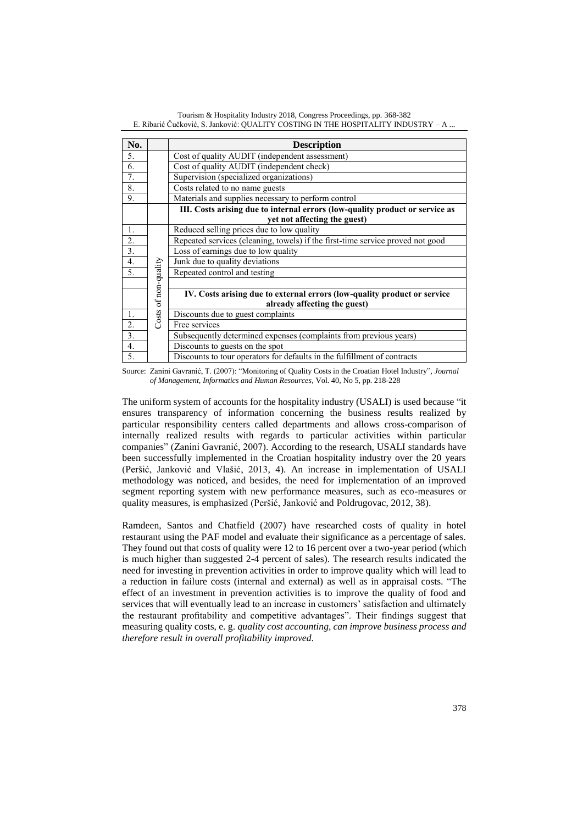| No.              |                      | <b>Description</b>                                                             |  |  |
|------------------|----------------------|--------------------------------------------------------------------------------|--|--|
| 5.               |                      | Cost of quality AUDIT (independent assessment)                                 |  |  |
| 6.               |                      | Cost of quality AUDIT (independent check)                                      |  |  |
| 7.               |                      | Supervision (specialized organizations)                                        |  |  |
| 8.               |                      | Costs related to no name guests                                                |  |  |
| 9.               |                      | Materials and supplies necessary to perform control                            |  |  |
|                  |                      | III. Costs arising due to internal errors (low-quality product or service as   |  |  |
|                  |                      | yet not affecting the guest)                                                   |  |  |
| 1.               |                      | Reduced selling prices due to low quality                                      |  |  |
| 2.               |                      | Repeated services (cleaning, towels) if the first-time service proved not good |  |  |
| 3.               |                      | Loss of earnings due to low quality                                            |  |  |
| 4.               |                      | Junk due to quality deviations                                                 |  |  |
| 5.               | Costs of non-quality | Repeated control and testing                                                   |  |  |
|                  |                      |                                                                                |  |  |
|                  |                      | IV. Costs arising due to external errors (low-quality product or service       |  |  |
|                  |                      | already affecting the guest)                                                   |  |  |
| 1.               |                      | Discounts due to guest complaints                                              |  |  |
| $\overline{2}$ . |                      | Free services                                                                  |  |  |
| 3.               |                      | Subsequently determined expenses (complaints from previous years)              |  |  |
| $\overline{4}$ . |                      | Discounts to guests on the spot                                                |  |  |
| 5.               |                      | Discounts to tour operators for defaults in the fulfillment of contracts       |  |  |

Tourism & Hospitality Industry 2018, Congress Proceedings, pp. 368-382 E. Ribarić Čučković, S. Janković: QUALITY COSTING IN THE HOSPITALITY INDUSTRY – A ...

Source: Zanini Gavranić, T. (2007): "Monitoring of Quality Costs in the Croatian Hotel Industry", *Journal of Management, Informatics and Human Resources*, Vol. 40, No 5, pp. 218-228

The uniform system of accounts for the hospitality industry (USALI) is used because "it ensures transparency of information concerning the business results realized by particular responsibility centers called departments and allows cross-comparison of internally realized results with regards to particular activities within particular companies" (Zanini Gavranić, 2007). According to the research, USALI standards have been successfully implemented in the Croatian hospitality industry over the 20 years (Peršić, Janković and Vlašić, 2013, 4). An increase in implementation of USALI methodology was noticed, and besides, the need for implementation of an improved segment reporting system with new performance measures, such as eco-measures or quality measures, is emphasized (Peršić, Janković and Poldrugovac, 2012, 38).

Ramdeen, Santos and Chatfield (2007) have researched costs of quality in hotel restaurant using the PAF model and evaluate their significance as a percentage of sales. They found out that costs of quality were 12 to 16 percent over a two-year period (which is much higher than suggested 2-4 percent of sales). The research results indicated the need for investing in prevention activities in order to improve quality which will lead to a reduction in failure costs (internal and external) as well as in appraisal costs. "The effect of an investment in prevention activities is to improve the quality of food and services that will eventually lead to an increase in customers' satisfaction and ultimately the restaurant profitability and competitive advantages". Their findings suggest that measuring quality costs, e. g. *quality cost accounting, can improve business process and therefore result in overall profitability improved.*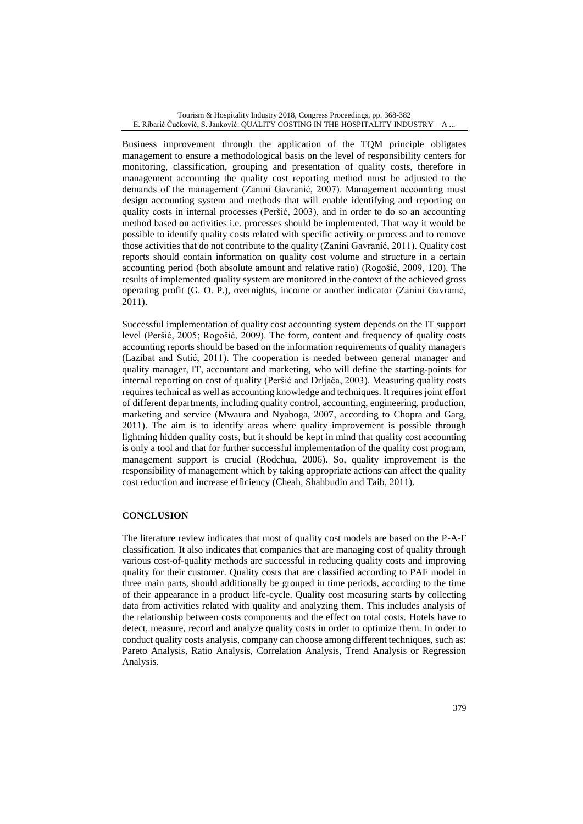Business improvement through the application of the TQM principle obligates management to ensure a methodological basis on the level of responsibility centers for monitoring, classification, grouping and presentation of quality costs, therefore in management accounting the quality cost reporting method must be adjusted to the demands of the management (Zanini Gavranić, 2007). Management accounting must design accounting system and methods that will enable identifying and reporting on quality costs in internal processes (Peršić, 2003), and in order to do so an accounting method based on activities i.e. processes should be implemented. That way it would be possible to identify quality costs related with specific activity or process and to remove those activities that do not contribute to the quality (Zanini Gavranić, 2011). Quality cost reports should contain information on quality cost volume and structure in a certain accounting period (both absolute amount and relative ratio) (Rogošić, 2009, 120). The results of implemented quality system are monitored in the context of the achieved gross operating profit (G. O. P.), overnights, income or another indicator (Zanini Gavranić, 2011).

Successful implementation of quality cost accounting system depends on the IT support level (Peršić, 2005; Rogošić, 2009). The form, content and frequency of quality costs accounting reports should be based on the information requirements of quality managers (Lazibat and Sutić, 2011). The cooperation is needed between general manager and quality manager, IT, accountant and marketing, who will define the starting-points for internal reporting on cost of quality (Peršić and Drljača, 2003). Measuring quality costs requires technical as well as accounting knowledge and techniques. It requires joint effort of different departments, including quality control, accounting, engineering, production, marketing and service (Mwaura and Nyaboga, 2007, according to Chopra and Garg, 2011). The aim is to identify areas where quality improvement is possible through lightning hidden quality costs, but it should be kept in mind that quality cost accounting is only a tool and that for further successful implementation of the quality cost program, management support is crucial (Rodchua, 2006). So, quality improvement is the responsibility of management which by taking appropriate actions can affect the quality cost reduction and increase efficiency (Cheah, Shahbudin and Taib, 2011).

### **CONCLUSION**

The literature review indicates that most of quality cost models are based on the P-A-F classification. It also indicates that companies that are managing cost of quality through various cost-of-quality methods are successful in reducing quality costs and improving quality for their customer. Quality costs that are classified according to PAF model in three main parts, should additionally be grouped in time periods, according to the time of their appearance in a product life-cycle. Quality cost measuring starts by collecting data from activities related with quality and analyzing them. This includes analysis of the relationship between costs components and the effect on total costs. Hotels have to detect, measure, record and analyze quality costs in order to optimize them. In order to conduct quality costs analysis, company can choose among different techniques, such as: Pareto Analysis, Ratio Analysis, Correlation Analysis, Trend Analysis or Regression Analysis*.*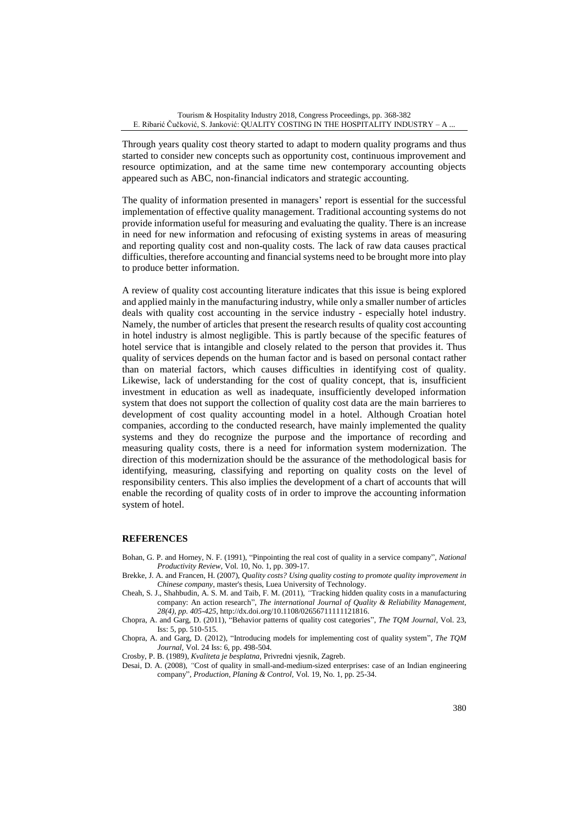Through years quality cost theory started to adapt to modern quality programs and thus started to consider new concepts such as opportunity cost, continuous improvement and resource optimization, and at the same time new contemporary accounting objects appeared such as ABC, non-financial indicators and strategic accounting.

The quality of information presented in managers' report is essential for the successful implementation of effective quality management. Traditional accounting systems do not provide information useful for measuring and evaluating the quality. There is an increase in need for new information and refocusing of existing systems in areas of measuring and reporting quality cost and non-quality costs. The lack of raw data causes practical difficulties, therefore accounting and financial systems need to be brought more into play to produce better information.

A review of quality cost accounting literature indicates that this issue is being explored and applied mainly in the manufacturing industry, while only a smaller number of articles deals with quality cost accounting in the service industry - especially hotel industry. Namely, the number of articles that present the research results of quality cost accounting in hotel industry is almost negligible. This is partly because of the specific features of hotel service that is intangible and closely related to the person that provides it. Thus quality of services depends on the human factor and is based on personal contact rather than on material factors, which causes difficulties in identifying cost of quality. Likewise, lack of understanding for the cost of quality concept, that is, insufficient investment in education as well as inadequate, insufficiently developed information system that does not support the collection of quality cost data are the main barrieres to development of cost quality accounting model in a hotel. Although Croatian hotel companies, according to the conducted research, have mainly implemented the quality systems and they do recognize the purpose and the importance of recording and measuring quality costs, there is a need for information system modernization. The direction of this modernization should be the assurance of the methodological basis for identifying, measuring, classifying and reporting on quality costs on the level of responsibility centers. This also implies the development of a chart of accounts that will enable the recording of quality costs of in order to improve the accounting information system of hotel.

### **REFERENCES**

- Bohan, G. P. and Horney, N. F. (1991), "Pinpointing the real cost of quality in a service company", *National Productivity Review*, Vol. 10, No. 1, pp. 309-17.
- Brekke, J. A. and Francen, H. (2007), *Quality costs? Using quality costing to promote quality improvement in Chinese company*, master's thesis, Luea University of Technology.
- Cheah, S. J., Shahbudin, A. S. M. and Taib, F. M. (2011), *"*Tracking hidden quality costs in a manufacturing company: An action research"*, The international Journal of Quality & Reliability Management, 28(4), pp. 405-425,* http://dx.doi.org/10.1108/02656711111121816.
- Chopra, A. and Garg, D. (2011), "Behavior patterns of quality cost categories", *The TQM Journal,* Vol. 23, Iss: 5, pp. 510-515.
- Chopra, A. and Garg, D. (2012), "Introducing models for implementing cost of quality system"*, The TQM Journal,* Vol. 24 Iss: 6, pp. 498-504.
- Crosby, P. B. (1989), *Kvaliteta je besplatna*, Privredni vjesnik, Zagreb.
- Desai, D. A. (2008), *"*Cost of quality in small-and-medium-sized enterprises: case of an Indian engineering company"*, Production, Planing & Control,* Vol. 19, No. 1, pp. 25-34.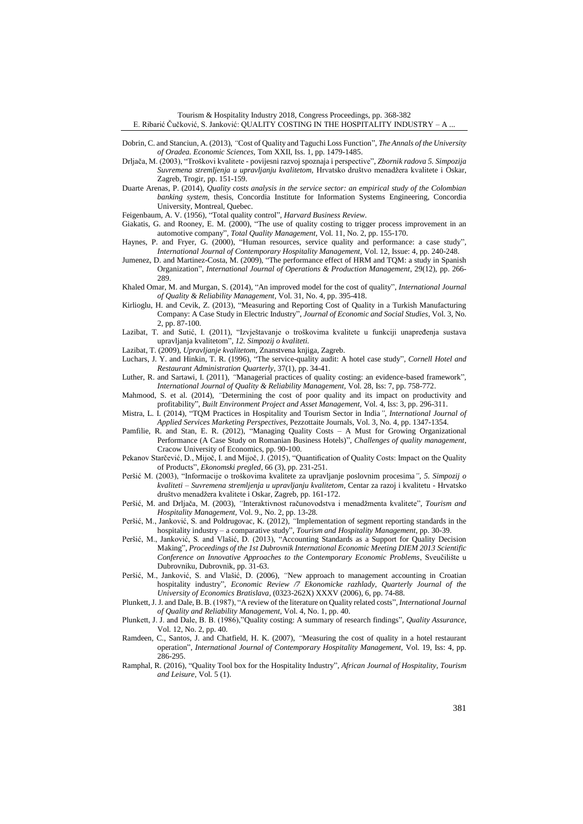- Dobrin, C. and Stanciun, A. (2013), *"*Cost of Quality and Taguchi Loss Function"*, The Annals of the University of Oradea. Economic Sciences,* Tom XXII, Iss. 1, pp. 1479-1485.
- Drljača, M. (2003), "Troškovi kvalitete povijesni razvoj spoznaja i perspective"*, Zbornik radova 5. Simpozija Suvremena stremljenja u upravljanju kvalitetom,* Hrvatsko društvo menadžera kvalitete i Oskar, Zagreb, Trogir, pp. 151-159.
- Duarte Arenas, P. (2014), *Quality costs analysis in the service sector: an empirical study of the Colombian banking system,* thesis, Concordia Institute for Information Systems Engineering, Concordia University, Montreal, Quebec.
- Feigenbaum, A. V. (1956), "Total quality control"*, Harvard Business Review.*
- Giakatis, G. and Rooney, E. M. (2000), "The use of quality costing to trigger process improvement in an automotive company"*, Total Quality Management,* Vol. 11, No. 2, pp. 155-170.
- Haynes, P. and Fryer, G. (2000), "Human resources, service quality and performance: a case study"*, International Journal of Contemporary Hospitality Management,* Vol. 12, Issue: 4, pp. 240-248.
- Jumenez, D. and Martinez-Costa, M. (2009), "The performance effect of HRM and TQM: a study in Spanish Organization", *International Journal of Operations & Production Management*, 29(12), pp. 266- 289.
- Khaled Omar, M. and Murgan, S. (2014), "An improved model for the cost of quality", *International Journal of Quality & Reliability Management,* Vol. 31, No. 4, pp. 395-418.
- Kirlioglu, H. and Cevik, Z. (2013), "Measuring and Reporting Cost of Quality in a Turkish Manufacturing Company: A Case Study in Electric Industry", *Journal of Economic and Social Studies*, Vol. 3, No. 2, pp. 87-100.
- Lazibat, T. and Sutić, I. (2011), "Izvještavanje o troškovima kvalitete u funkciji unapređenja sustava upravljanja kvalitetom"*, 12. Simpozij o kvaliteti.*
- Lazibat, T. (2009), *Upravljanje kvalitetom,* Znanstvena knjiga, Zagreb.
- Luchars, J. Y. and Hinkin, T. R. (1996), "The service-quality audit: A hotel case study", *Cornell Hotel and Restaurant Administration Quarterly*, 37(1), pp. 34-41.
- Luther, R. and Sartawi, I. (2011), *"*Managerial practices of quality costing: an evidence-based framework"*, International Journal of Quality & Reliability Management,* Vol. 28, Iss: 7, pp. 758-772.
- Mahmood, S. et al. (2014), *"*Determining the cost of poor quality and its impact on productivity and profitability"*, Built Environment Project and Asset Management,* Vol. 4, Iss: 3, pp. 296-311.
- Mistra, L. I. (2014), "TQM Practices in Hospitality and Tourism Sector in India*", International Journal of Applied Services Marketing Perspectives*, Pezzottaite Journals, Vol. 3, No. 4, pp. 1347-1354.
- Pamfilie, R. and Stan, E. R. (2012), "Managing Quality Costs A Must for Growing Organizational Performance (A Case Study on Romanian Business Hotels)", *Challenges of quality management*, Cracow University of Economics, pp. 90-100.
- Pekanov Starčević, D., Mijoč, I. and Mijoč, J. (2015), "Quantification of Quality Costs: Impact on the Quality of Products", *Ekonomski pregled*, 66 (3), pp. 231-251.
- Peršić M. (2003), "Informacije o troškovima kvalitete za upravljanje poslovnim procesima*"*, *5. Simpozij o kvaliteti – Suvremena stremljenja u upravljanju kvalitetom*, Centar za razoj i kvalitetu - Hrvatsko društvo menadžera kvalitete i Oskar, Zagreb, pp. 161-172.
- Peršić, M. and Drljača, M. (2003), *"*Interaktivnost računovodstva i menadžmenta kvalitete"*, Tourism and Hospitality Management,* Vol. 9., No. 2, pp. 13-28*.*
- Peršić, M., Janković, S. and Poldrugovac, K. (2012), *"*Implementation of segment reporting standards in the hospitality industry – a comparative study"*, Tourism and Hospitality Management,* pp. 30-39.
- Peršić, M., Janković, S. and Vlašić, D. (2013), "Accounting Standards as a Support for Quality Decision Making", *Proceedings of the 1st Dubrovnik International Economic Meeting DIEM 2013 Scientific Conference on Innovative Approaches to the Contemporary Economic Problems*, Sveučilište u Dubrovniku, Dubrovnik, pp. 31-63.
- Peršić, M., Janković, S. and Vlašić, D. (2006), *"*New approach to management accounting in Croatian hospitality industry", *Economic Review /7 Ekonomicke razhlady, Quarterly Journal of the University of Economics Bratislava,* (0323-262X) XXXV (2006), 6, pp. 74**-**88.
- Plunkett, J. J. and Dale, B. B. (1987), "A review of the literature on Quality related costs"*, International Journal of Quality and Reliability Management,* Vol. 4, No. 1, pp. 40.
- Plunkett, J. J. and Dale, B. B. (1986),"Quality costing: A summary of research findings"*, Quality Assurance,*  Vol. 12, No. 2, pp. 40.
- Ramdeen, C., Santos, J. and Chatfield, H. K. (2007), *"*Measuring the cost of quality in a hotel restaurant operation", *International Journal of Contemporary Hospitality Management,* Vol. 19, Iss: 4, pp. 286-295.
- Ramphal, R. (2016), "Quality Tool box for the Hospitality Industry", *African Journal of Hospitality, Tourism and Leisure,* Vol. 5 (1).